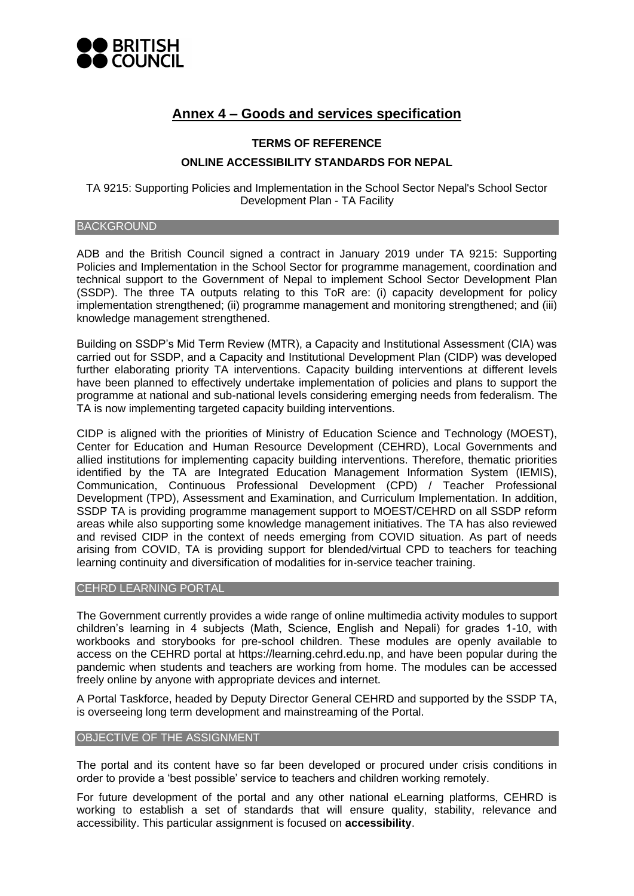

# **Annex 4 – Goods and services specification**

# **TERMS OF REFERENCE ONLINE ACCESSIBILITY STANDARDS FOR NEPAL**

TA 9215: Supporting Policies and Implementation in the School Sector Nepal's School Sector Development Plan - TA Facility

## **BACKGROUND**

ADB and the British Council signed a contract in January 2019 under TA 9215: Supporting Policies and Implementation in the School Sector for programme management, coordination and technical support to the Government of Nepal to implement School Sector Development Plan (SSDP). The three TA outputs relating to this ToR are: (i) capacity development for policy implementation strengthened; (ii) programme management and monitoring strengthened; and (iii) knowledge management strengthened.

Building on SSDP's Mid Term Review (MTR), a Capacity and Institutional Assessment (CIA) was carried out for SSDP, and a Capacity and Institutional Development Plan (CIDP) was developed further elaborating priority TA interventions. Capacity building interventions at different levels have been planned to effectively undertake implementation of policies and plans to support the programme at national and sub-national levels considering emerging needs from federalism. The TA is now implementing targeted capacity building interventions.

CIDP is aligned with the priorities of Ministry of Education Science and Technology (MOEST), Center for Education and Human Resource Development (CEHRD), Local Governments and allied institutions for implementing capacity building interventions. Therefore, thematic priorities identified by the TA are Integrated Education Management Information System (IEMIS), Communication, Continuous Professional Development (CPD) / Teacher Professional Development (TPD), Assessment and Examination, and Curriculum Implementation. In addition, SSDP TA is providing programme management support to MOEST/CEHRD on all SSDP reform areas while also supporting some knowledge management initiatives. The TA has also reviewed and revised CIDP in the context of needs emerging from COVID situation. As part of needs arising from COVID, TA is providing support for blended/virtual CPD to teachers for teaching learning continuity and diversification of modalities for in-service teacher training.

## CEHRD LEARNING PORTAL

The Government currently provides a wide range of online multimedia activity modules to support children's learning in 4 subjects (Math, Science, English and Nepali) for grades 1-10, with workbooks and storybooks for pre-school children. These modules are openly available to access on the CEHRD portal at [https://learning.cehrd.edu.np,](https://learning.cehrd.edu.np/) and have been popular during the pandemic when students and teachers are working from home. The modules can be accessed freely online by anyone with appropriate devices and internet.

A Portal Taskforce, headed by Deputy Director General CEHRD and supported by the SSDP TA, is overseeing long term development and mainstreaming of the Portal.

#### OBJECTIVE OF THE ASSIGNMENT

The portal and its content have so far been developed or procured under crisis conditions in order to provide a 'best possible' service to teachers and children working remotely.

For future development of the portal and any other national eLearning platforms, CEHRD is working to establish a set of standards that will ensure quality, stability, relevance and accessibility. This particular assignment is focused on **accessibility**.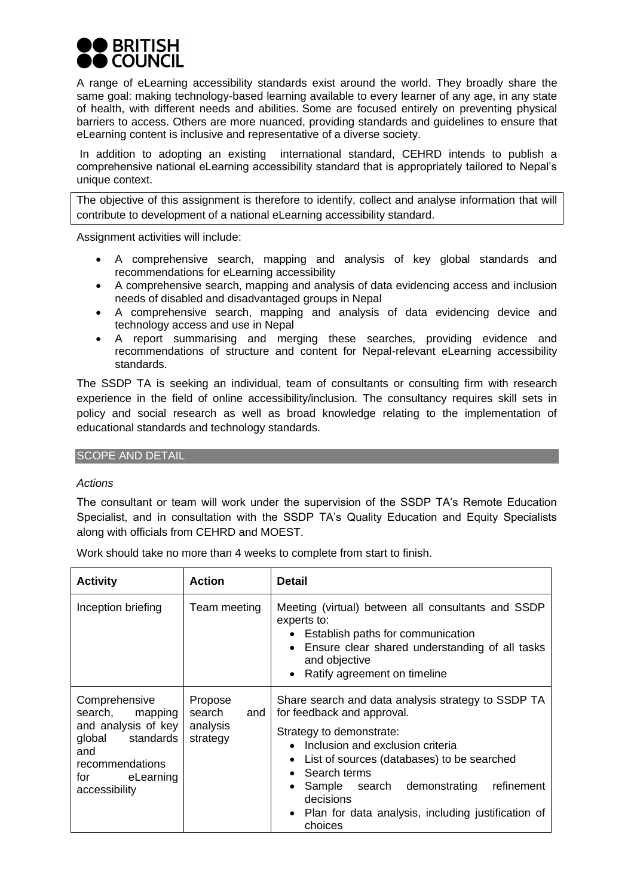

A range of eLearning accessibility standards exist around the world. They broadly share the same goal: making technology-based learning available to every learner of any age, in any state of health, with different needs and abilities. Some are focused entirely on preventing physical barriers to access. Others are more nuanced, providing standards and guidelines to ensure that eLearning content is inclusive and representative of a diverse society.

In addition to adopting an existing international standard, CEHRD intends to publish a comprehensive national eLearning accessibility standard that is appropriately tailored to Nepal's unique context.

The objective of this assignment is therefore to identify, collect and analyse information that will contribute to development of a national eLearning accessibility standard.

Assignment activities will include:

- A comprehensive search, mapping and analysis of key global standards and recommendations for eLearning accessibility
- A comprehensive search, mapping and analysis of data evidencing access and inclusion needs of disabled and disadvantaged groups in Nepal
- A comprehensive search, mapping and analysis of data evidencing device and technology access and use in Nepal
- A report summarising and merging these searches, providing evidence and recommendations of structure and content for Nepal-relevant eLearning accessibility standards.

The SSDP TA is seeking an individual, team of consultants or consulting firm with research experience in the field of online accessibility/inclusion. The consultancy requires skill sets in policy and social research as well as broad knowledge relating to the implementation of educational standards and technology standards.

## SCOPE AND DETAIL

## *Actions*

The consultant or team will work under the supervision of the SSDP TA's Remote Education Specialist, and in consultation with the SSDP TA's Quality Education and Equity Specialists along with officials from CEHRD and MOEST.

Work should take no more than 4 weeks to complete from start to finish.

| <b>Activity</b>                                                                                                                            | <b>Action</b>                                    | <b>Detail</b>                                                                                                                                                                                                                                                                                                                               |
|--------------------------------------------------------------------------------------------------------------------------------------------|--------------------------------------------------|---------------------------------------------------------------------------------------------------------------------------------------------------------------------------------------------------------------------------------------------------------------------------------------------------------------------------------------------|
| Inception briefing                                                                                                                         | Team meeting                                     | Meeting (virtual) between all consultants and SSDP<br>experts to:<br>• Establish paths for communication<br>Ensure clear shared understanding of all tasks<br>and objective<br>Ratify agreement on timeline                                                                                                                                 |
| Comprehensive<br>search,<br>mapping<br>and analysis of key<br>global standards<br>and<br>recommendations<br>for eLearning<br>accessibility | Propose<br>search<br>and<br>analysis<br>strategy | Share search and data analysis strategy to SSDP TA<br>for feedback and approval.<br>Strategy to demonstrate:<br>• Inclusion and exclusion criteria<br>List of sources (databases) to be searched<br>Search terms<br>Sample search demonstrating<br>refinement<br>decisions<br>Plan for data analysis, including justification of<br>choices |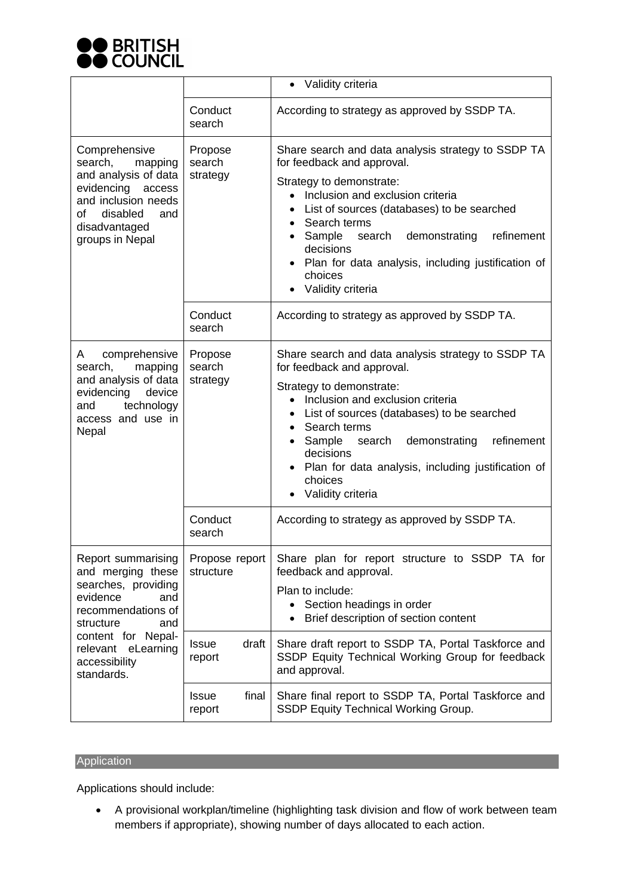

|                                                                                                                                                                                                           |                                 | Validity criteria                                                                                                                                                                                                                                                                                                                                                      |
|-----------------------------------------------------------------------------------------------------------------------------------------------------------------------------------------------------------|---------------------------------|------------------------------------------------------------------------------------------------------------------------------------------------------------------------------------------------------------------------------------------------------------------------------------------------------------------------------------------------------------------------|
|                                                                                                                                                                                                           | Conduct<br>search               | According to strategy as approved by SSDP TA.                                                                                                                                                                                                                                                                                                                          |
| Comprehensive<br>search,<br>mapping<br>and analysis of data<br>evidencing access<br>and inclusion needs<br>of<br>disabled<br>and<br>disadvantaged<br>groups in Nepal                                      | Propose<br>search<br>strategy   | Share search and data analysis strategy to SSDP TA<br>for feedback and approval.<br>Strategy to demonstrate:<br>• Inclusion and exclusion criteria<br>List of sources (databases) to be searched<br>Search terms<br>Sample<br>refinement<br>search<br>demonstrating<br>decisions<br>Plan for data analysis, including justification of<br>choices<br>Validity criteria |
|                                                                                                                                                                                                           | Conduct<br>search               | According to strategy as approved by SSDP TA.                                                                                                                                                                                                                                                                                                                          |
| comprehensive<br>A<br>search,<br>mapping<br>and analysis of data<br>evidencing<br>device<br>technology<br>and<br>access and use in<br>Nepal                                                               | Propose<br>search<br>strategy   | Share search and data analysis strategy to SSDP TA<br>for feedback and approval.<br>Strategy to demonstrate:<br>• Inclusion and exclusion criteria<br>List of sources (databases) to be searched<br>Search terms<br>Sample<br>refinement<br>search<br>demonstrating<br>decisions<br>Plan for data analysis, including justification of<br>choices<br>Validity criteria |
|                                                                                                                                                                                                           | Conduct<br>search               | According to strategy as approved by SSDP TA.                                                                                                                                                                                                                                                                                                                          |
| Report summarising<br>and merging these<br>searches, providing<br>evidence<br>and<br>recommendations of<br>structure<br>and<br>content for Nepal-<br>relevant<br>eLearning<br>accessibility<br>standards. | Propose report<br>structure     | Share plan for report structure to SSDP TA for<br>feedback and approval.<br>Plan to include:<br>• Section headings in order<br>Brief description of section content                                                                                                                                                                                                    |
|                                                                                                                                                                                                           | draft<br><b>Issue</b><br>report | Share draft report to SSDP TA, Portal Taskforce and<br>SSDP Equity Technical Working Group for feedback<br>and approval.                                                                                                                                                                                                                                               |
|                                                                                                                                                                                                           | final<br><b>Issue</b><br>report | Share final report to SSDP TA, Portal Taskforce and<br>SSDP Equity Technical Working Group.                                                                                                                                                                                                                                                                            |

# **Application**

Applications should include:

• A provisional workplan/timeline (highlighting task division and flow of work between team members if appropriate), showing number of days allocated to each action.